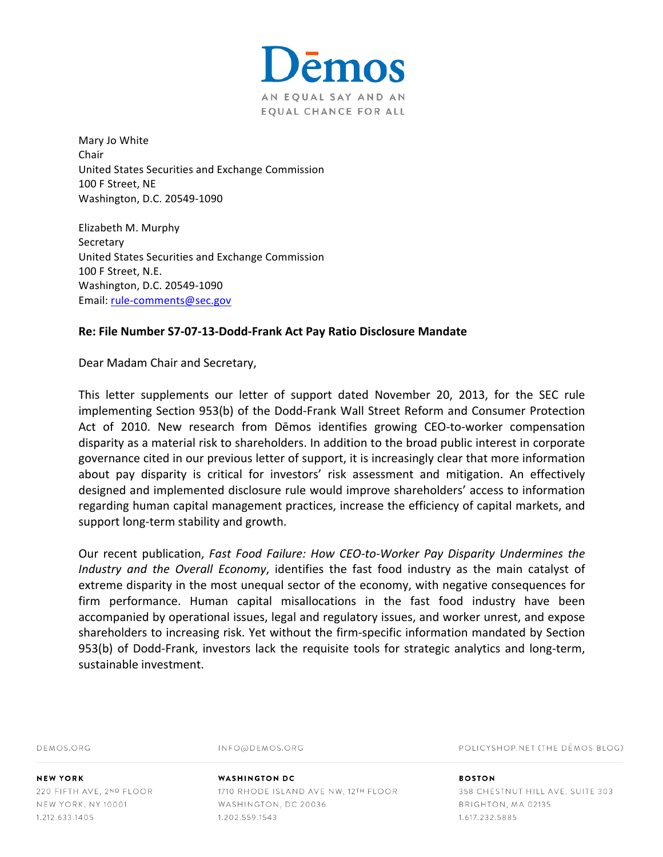

Mary Jo White Chair United States Securities and Exchange Commission 100 F Street, NE Washington, D.C. 20549-1090

Elizabeth M. Murphy **Secretary** United States Securities and Exchange Commission 100 F Street, N.E. Washington, D.C. 20549-1090 Email: rule-comments@sec.gov

## **Re: File Number S7-07-13-Dodd-Frank Act Pay Ratio Disclosure Mandate**

Dear Madam Chair and Secretary,

This letter supplements our letter of support dated November 20, 2013, for the SEC rule implementing Section 953(b) of the Dodd-Frank Wall Street Reform and Consumer Protection Act of 2010. New research from Dēmos identifies growing CEO-to-worker compensation disparity as a material risk to shareholders. In addition to the broad public interest in corporate governance cited in our previous letter of support, it is increasingly clear that more information about pay disparity is critical for investors' risk assessment and mitigation. An effectively designed and implemented disclosure rule would improve shareholders' access to information regarding human capital management practices, increase the efficiency of capital markets, and support long-term stability and growth.

Our recent publication, *Fast Food Failure: How CEO-to-Worker Pay Disparity Undermines the Industry* and the Overall Economy, identifies the fast food industry as the main catalyst of extreme disparity in the most unequal sector of the economy, with negative consequences for firm performance. Human capital misallocations in the fast food industry have been accompanied by operational issues, legal and regulatory issues, and worker unrest, and expose shareholders to increasing risk. Yet without the firm-specific information mandated by Section 953(b) of Dodd-Frank, investors lack the requisite tools for strategic analytics and long-term, sustainable investment.

DEMOS ORG

INFO@DEMOS.ORG

POLICYSHOP.NET (THE DEMOS BLOG)

**NEW YORK** 220 FIFTH AVE, 2ND FLOOR NEW YORK, NY 10001 1.212.633.1405

## **WASHINGTON DC** 1710 RHODE ISLAND AVE NW, 12TH FLOOR WASHINGTON, DC 20036 1.202.559.1543

**BOSTON** 358 CHESTNUT HILL AVE, SUITE 303 BRIGHTON, MA 02135 1.617.232.5885